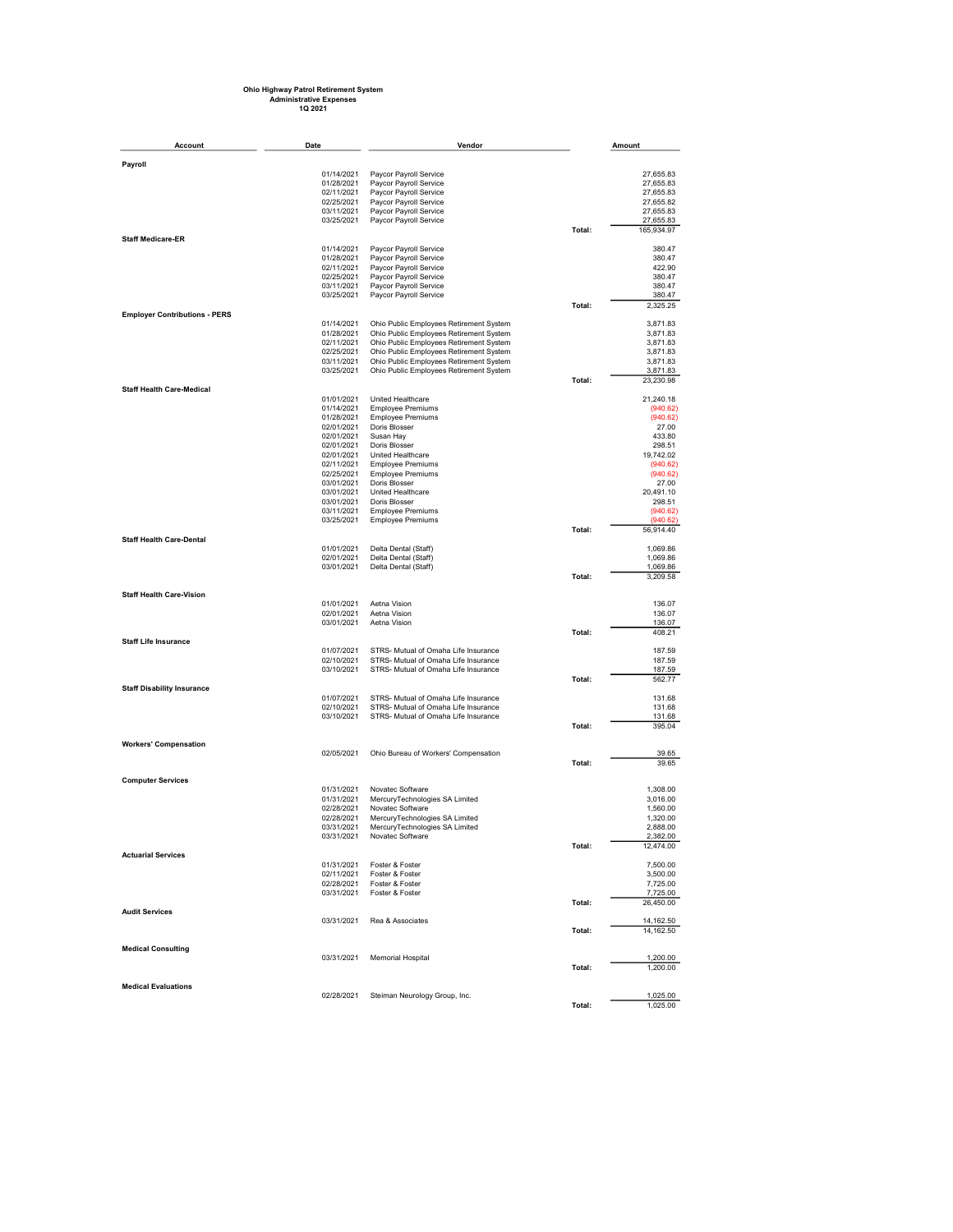## Ohio Highway Patrol Retirement System Administrative Expenses 1Q 2021

| <b>Account</b>                       | Date                     | Vendor                                           |        | Amount                 |
|--------------------------------------|--------------------------|--------------------------------------------------|--------|------------------------|
| Payroll                              |                          |                                                  |        |                        |
|                                      | 01/14/2021               | Paycor Payroll Service                           |        | 27,655.83              |
|                                      | 01/28/2021               | Paycor Payroll Service                           |        | 27,655.83              |
|                                      | 02/11/2021               | Paycor Payroll Service                           |        | 27,655.83              |
|                                      | 02/25/2021               | Paycor Payroll Service                           |        | 27,655.82              |
|                                      | 03/11/2021<br>03/25/2021 | Paycor Payroll Service<br>Paycor Payroll Service |        | 27,655.83<br>27,655.83 |
|                                      |                          |                                                  | Total: | 165,934.97             |
| <b>Staff Medicare-ER</b>             |                          |                                                  |        |                        |
|                                      | 01/14/2021<br>01/28/2021 | Paycor Payroll Service<br>Paycor Payroll Service |        | 380.47<br>380.47       |
|                                      | 02/11/2021               | Paycor Payroll Service                           |        | 422.90                 |
|                                      | 02/25/2021               | Paycor Payroll Service                           |        | 380.47                 |
|                                      | 03/11/2021               | Paycor Payroll Service                           |        | 380.47                 |
|                                      | 03/25/2021               | Paycor Payroll Service                           |        | 380.47                 |
| <b>Employer Contributions - PERS</b> |                          |                                                  | Total: | 2,325.25               |
|                                      | 01/14/2021               | Ohio Public Employees Retirement System          |        | 3,871.83               |
|                                      | 01/28/2021               | Ohio Public Employees Retirement System          |        | 3,871.83               |
|                                      | 02/11/2021               | Ohio Public Employees Retirement System          |        | 3,871.83               |
|                                      | 02/25/2021               | Ohio Public Employees Retirement System          |        | 3,871.83               |
|                                      | 03/11/2021               | Ohio Public Employees Retirement System          |        | 3,871.83               |
|                                      | 03/25/2021               | Ohio Public Employees Retirement System          | Total: | 3,871.83<br>23,230.98  |
| <b>Staff Health Care-Medical</b>     |                          |                                                  |        |                        |
|                                      | 01/01/2021               | United Healthcare                                |        | 21,240.18              |
|                                      | 01/14/2021<br>01/28/2021 | <b>Employee Premiums</b>                         |        | (940.62)<br>(940.62)   |
|                                      | 02/01/2021               | <b>Employee Premiums</b><br>Doris Blosser        |        | 27.00                  |
|                                      | 02/01/2021               | Susan Hay                                        |        | 433.80                 |
|                                      | 02/01/2021               | Doris Blosser                                    |        | 298.51                 |
|                                      | 02/01/2021               | United Healthcare                                |        | 19,742.02              |
|                                      | 02/11/2021               | <b>Employee Premiums</b>                         |        | (940.62)               |
|                                      | 02/25/2021               | <b>Employee Premiums</b>                         |        | (940.62)               |
|                                      | 03/01/2021               | Doris Blosser                                    |        | 27.00                  |
|                                      | 03/01/2021<br>03/01/2021 | United Healthcare<br>Doris Blosser               |        | 20,491.10<br>298.51    |
|                                      | 03/11/2021               | <b>Employee Premiums</b>                         |        | (940.62)               |
|                                      | 03/25/2021               | <b>Employee Premiums</b>                         |        | (940.62)               |
|                                      |                          |                                                  | Total: | 56,914.40              |
| <b>Staff Health Care-Dental</b>      | 01/01/2021               | Delta Dental (Staff)                             |        | 1,069.86               |
|                                      | 02/01/2021               | Delta Dental (Staff)                             |        | 1,069.86               |
|                                      | 03/01/2021               | Delta Dental (Staff)                             |        | 1,069.86               |
|                                      |                          |                                                  | Total: | 3,209.58               |
| <b>Staff Health Care-Vision</b>      |                          |                                                  |        |                        |
|                                      | 01/01/2021               | Aetna Vision                                     |        | 136.07                 |
|                                      | 02/01/2021               | Aetna Vision                                     |        | 136.07                 |
|                                      | 03/01/2021               | Aetna Vision                                     |        | 136.07                 |
| <b>Staff Life Insurance</b>          |                          |                                                  | Total: | 408.21                 |
|                                      | 01/07/2021               | STRS- Mutual of Omaha Life Insurance             |        | 187.59                 |
|                                      | 02/10/2021               | STRS- Mutual of Omaha Life Insurance             |        | 187.59                 |
|                                      | 03/10/2021               | STRS- Mutual of Omaha Life Insurance             |        | 187.59                 |
|                                      |                          |                                                  | Total: | 562.77                 |
| <b>Staff Disability Insurance</b>    | 01/07/2021               | STRS- Mutual of Omaha Life Insurance             |        | 131.68                 |
|                                      | 02/10/2021               | STRS- Mutual of Omaha Life Insurance             |        | 131.68                 |
|                                      | 03/10/2021               | STRS- Mutual of Omaha Life Insurance             |        | 131.68                 |
|                                      |                          |                                                  | Total: | 395.04                 |
| <b>Workers' Compensation</b>         |                          |                                                  |        |                        |
|                                      | 02/05/2021               | Ohio Bureau of Workers' Compensation             |        | 39.65                  |
|                                      |                          |                                                  | Total: | 39.65                  |
|                                      |                          |                                                  |        |                        |
| <b>Computer Services</b>             | 01/31/2021               | Novatec Software                                 |        | 1,308.00               |
|                                      | 01/31/2021               | MercuryTechnologies SA Limited                   |        | 3,016.00               |
|                                      | 02/28/2021               | Novatec Software                                 |        | 1,560.00               |
|                                      | 02/28/2021               | MercuryTechnologies SA Limited                   |        | 1,320.00               |
|                                      | 03/31/2021               | MercuryTechnologies SA Limited                   |        | 2,888.00               |
|                                      | 03/31/2021               | Novatec Software                                 |        | 2,382.00               |
| <b>Actuarial Services</b>            |                          |                                                  | Total: | 12,474.00              |
|                                      |                          | 01/31/2021    Foster & Foster                    |        | 7,500.00               |
|                                      |                          | 02/11/2021 Foster & Foster                       |        | 3,500.00               |
|                                      |                          | 02/28/2021    Foster & Foster                    |        | 7,725.00               |
|                                      |                          | 03/31/2021 Foster & Foster                       | Total: | 7,725.00<br>26,450.00  |
| <b>Audit Services</b>                |                          |                                                  |        |                        |
|                                      | 03/31/2021               | Rea & Associates                                 |        | 14,162.50              |
|                                      |                          |                                                  | Total: | 14, 162.50             |
| <b>Medical Consulting</b>            |                          |                                                  |        |                        |
|                                      | 03/31/2021               | <b>Memorial Hospital</b>                         |        | 1,200.00               |
|                                      |                          |                                                  | Total: | 1,200.00               |
|                                      |                          |                                                  |        |                        |
| <b>Medical Evaluations</b>           | 02/28/2021               | Steiman Neurology Group, Inc.                    |        | 1,025.00               |
|                                      |                          |                                                  | Total: | 1,025.00               |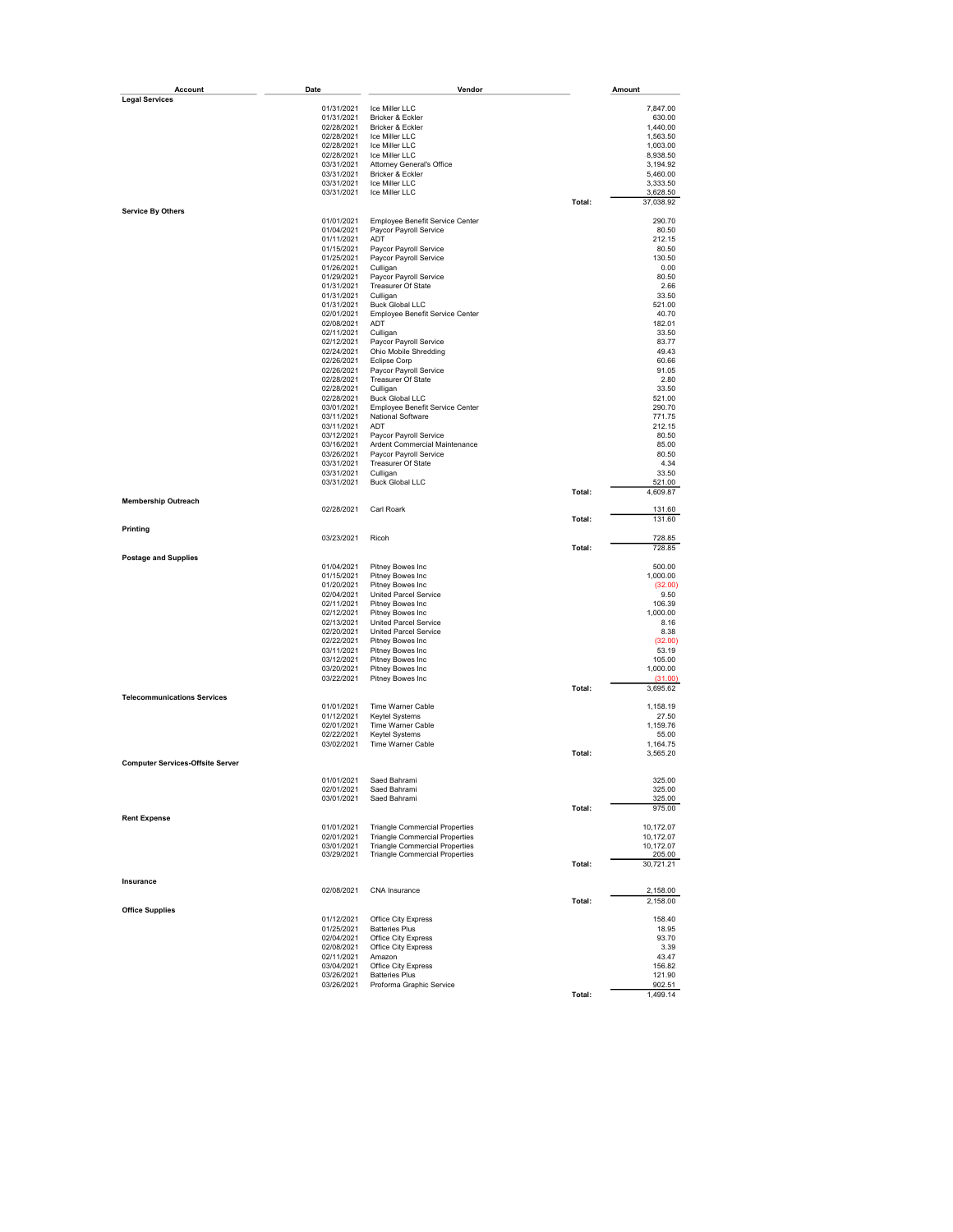| Account                                 | Date                     | Vendor                                           |        | Amount               |
|-----------------------------------------|--------------------------|--------------------------------------------------|--------|----------------------|
| <b>Legal Services</b>                   |                          |                                                  |        |                      |
|                                         | 01/31/2021<br>01/31/2021 | Ice Miller LLC<br>Bricker & Eckler               |        | 7,847.00<br>630.00   |
|                                         | 02/28/2021               | Bricker & Eckler                                 |        | 1,440.00             |
|                                         | 02/28/2021               | Ice Miller LLC                                   |        | 1,563.50             |
|                                         | 02/28/2021               | Ice Miller LLC                                   |        | 1,003.00             |
|                                         | 02/28/2021               | Ice Miller LLC                                   |        | 8,938.50             |
|                                         | 03/31/2021               | Attorney General's Office                        |        | 3,194.92             |
|                                         | 03/31/2021               | Bricker & Eckler                                 |        | 5,460.00             |
|                                         | 03/31/2021<br>03/31/2021 | Ice Miller LLC<br>Ice Miller LLC                 |        | 3,333.50<br>3,628.50 |
|                                         |                          |                                                  | Total: | 37,038.92            |
| <b>Service By Others</b>                |                          |                                                  |        |                      |
|                                         | 01/01/2021               | Employee Benefit Service Center                  |        | 290.70               |
|                                         | 01/04/2021               | Paycor Payroll Service                           |        | 80.50                |
|                                         | 01/11/2021<br>01/15/2021 | ADT                                              |        | 212.15<br>80.50      |
|                                         | 01/25/2021               | Paycor Payroll Service<br>Paycor Payroll Service |        | 130.50               |
|                                         | 01/26/2021               | Culligan                                         |        | 0.00                 |
|                                         | 01/29/2021               | Paycor Payroll Service                           |        | 80.50                |
|                                         | 01/31/2021               | Treasurer Of State                               |        | 2.66                 |
|                                         | 01/31/2021               | Culligan                                         |        | 33.50                |
|                                         | 01/31/2021<br>02/01/2021 | <b>Buck Global LLC</b>                           |        | 521.00<br>40.70      |
|                                         | 02/08/2021               | Employee Benefit Service Center<br>ADT           |        | 182.01               |
|                                         | 02/11/2021               | Culligan                                         |        | 33.50                |
|                                         | 02/12/2021               | Paycor Payroll Service                           |        | 83.77                |
|                                         | 02/24/2021               | Ohio Mobile Shredding                            |        | 49.43                |
|                                         | 02/26/2021               | <b>Eclipse Corp</b>                              |        | 60.66                |
|                                         | 02/26/2021               | Paycor Payroll Service                           |        | 91.05                |
|                                         | 02/28/2021<br>02/28/2021 | Treasurer Of State<br>Culligan                   |        | 2.80<br>33.50        |
|                                         | 02/28/2021               | <b>Buck Global LLC</b>                           |        | 521.00               |
|                                         | 03/01/2021               | Employee Benefit Service Center                  |        | 290.70               |
|                                         | 03/11/2021               | National Software                                |        | 771.75               |
|                                         | 03/11/2021               | ADT                                              |        | 212.15               |
|                                         | 03/12/2021               | Paycor Payroll Service                           |        | 80.50                |
|                                         | 03/16/2021               | Ardent Commercial Maintenance                    |        | 85.00                |
|                                         | 03/26/2021<br>03/31/2021 | Paycor Payroll Service<br>Treasurer Of State     |        | 80.50<br>4.34        |
|                                         | 03/31/2021               | Culligan                                         |        | 33.50                |
|                                         | 03/31/2021               | <b>Buck Global LLC</b>                           |        | 521.00               |
|                                         |                          |                                                  | Total: | 4,609.87             |
| <b>Membership Outreach</b>              |                          |                                                  |        |                      |
|                                         | 02/28/2021               | Carl Roark                                       | Total: | 131.60<br>131.60     |
| Printing                                |                          |                                                  |        |                      |
|                                         | 03/23/2021               | Ricoh                                            |        | 728.85               |
|                                         |                          |                                                  | Total: | 728.85               |
| <b>Postage and Supplies</b>             |                          |                                                  |        |                      |
|                                         | 01/04/2021<br>01/15/2021 | Pitney Bowes Inc<br>Pitney Bowes Inc             |        | 500.00<br>1,000.00   |
|                                         | 01/20/2021               | Pitney Bowes Inc                                 |        | (32.00)              |
|                                         | 02/04/2021               | United Parcel Service                            |        | 9.50                 |
|                                         | 02/11/2021               | Pitney Bowes Inc                                 |        | 106.39               |
|                                         | 02/12/2021               | Pitney Bowes Inc                                 |        | 1,000.00             |
|                                         | 02/13/2021               | <b>United Parcel Service</b>                     |        | 8.16                 |
|                                         | 02/20/2021<br>02/22/2021 | <b>United Parcel Service</b><br>Pitney Bowes Inc |        | 8.38<br>(32.00)      |
|                                         | 03/11/2021               | Pitney Bowes Inc                                 |        | 53.19                |
|                                         | 03/12/2021               | Pitney Bowes Inc                                 |        | 105.00               |
|                                         | 03/20/2021               | Pitney Bowes Inc                                 |        | 1,000.00             |
|                                         | 03/22/2021               | Pitney Bowes Inc                                 |        | (31.00)              |
|                                         |                          |                                                  | Total: | 3,695.62             |
| <b>Telecommunications Services</b>      | 01/01/2021               | Time Warner Cable                                |        | 1,158.19             |
|                                         | 01/12/2021               | Keytel Systems                                   |        | 27.50                |
|                                         | 02/01/2021               | Time Warner Cable                                |        | 1,159.76             |
|                                         | 02/22/2021               | Keytel Systems                                   |        | 55.00                |
|                                         | 03/02/2021               | Time Warner Cable                                |        | 1,164.75             |
|                                         |                          |                                                  | Total: | 3,565.20             |
| <b>Computer Services-Offsite Server</b> |                          |                                                  |        |                      |
|                                         | 01/01/2021               | Saed Bahrami                                     |        | 325.00               |
|                                         | 02/01/2021               | Saed Bahrami                                     |        | 325.00               |
|                                         | 03/01/2021               | Saed Bahrami                                     |        | 325.00               |
| <b>Rent Expense</b>                     |                          |                                                  | Total: | 975.00               |
|                                         | 01/01/2021               | <b>Triangle Commercial Properties</b>            |        | 10,172.07            |
|                                         | 02/01/2021               | <b>Triangle Commercial Properties</b>            |        | 10,172.07            |
|                                         | 03/01/2021               | <b>Triangle Commercial Properties</b>            |        | 10,172.07            |
|                                         | 03/29/2021               | <b>Triangle Commercial Properties</b>            |        | 205.00               |
|                                         |                          |                                                  | Total: | 30,721.21            |
| Insurance                               |                          |                                                  |        |                      |
|                                         | 02/08/2021               | CNA Insurance                                    |        | 2,158.00             |
|                                         |                          |                                                  | Total: | 2,158.00             |
| <b>Office Supplies</b>                  |                          |                                                  |        |                      |
|                                         | 01/12/2021               | Office City Express                              |        | 158.40               |
|                                         | 01/25/2021<br>02/04/2021 | <b>Batteries Plus</b><br>Office City Express     |        | 18.95<br>93.70       |
|                                         | 02/08/2021               | Office City Express                              |        | 3.39                 |
|                                         | 02/11/2021               | Amazon                                           |        | 43.47                |
|                                         | 03/04/2021               | Office City Express                              |        | 156.82               |
|                                         | 03/26/2021               | <b>Batteries Plus</b>                            |        | 121.90               |
|                                         | 03/26/2021               | Proforma Graphic Service                         |        | 902.51               |
|                                         |                          |                                                  | Total: | 1,499.14             |